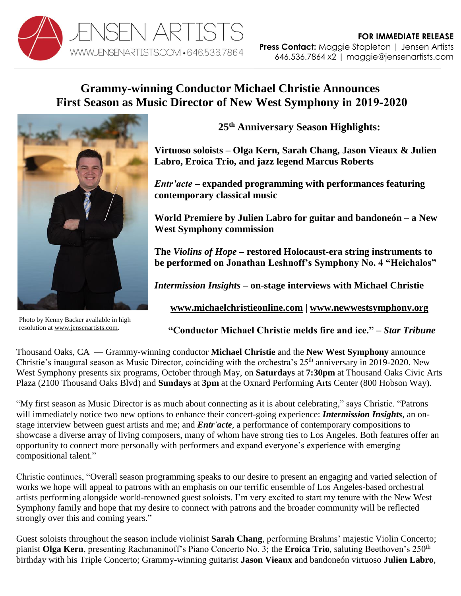

# **Grammy-winning Conductor Michael Christie Announces First Season as Music Director of New West Symphony in 2019-2020**



Photo by Kenny Backer available in high resolution a[t www.jensenartists.com.](http://www.jensenartists.com/)

**25th Anniversary Season Highlights:**

**Virtuoso soloists – Olga Kern, Sarah Chang, Jason Vieaux & Julien Labro, Eroica Trio, and jazz legend Marcus Roberts** 

*Entr'acte* **– expanded programming with performances featuring contemporary classical music**

**World Premiere by Julien Labro for guitar and bandoneón – a New West Symphony commission**

**The** *Violins of Hope* **– restored Holocaust-era string instruments to be performed on Jonathan Leshnoff's Symphony No. 4 "Heichalos"** 

*Intermission Insights* **– on-stage interviews with Michael Christie**

**[www.michaelchristieonline.com](http://www.michaelchristieonline.com/) | [www.newwestsymphony.org](http://www.newwestsymphony.org/)**

**"Conductor Michael Christie melds fire and ice." –** *Star Tribune*

Thousand Oaks, CA — Grammy-winning conductor **Michael Christie** and the **New West Symphony** announce Christie's inaugural season as Music Director, coinciding with the orchestra's  $25<sup>th</sup>$  anniversary in 2019-2020. New West Symphony presents six programs, October through May, on **Saturdays** at **7:30pm** at Thousand Oaks Civic Arts Plaza (2100 Thousand Oaks Blvd) and **Sundays** at **3pm** at the Oxnard Performing Arts Center (800 Hobson Way).

"My first season as Music Director is as much about connecting as it is about celebrating," says Christie. "Patrons will immediately notice two new options to enhance their concert-going experience: *Intermission Insights,* an onstage interview between guest artists and me; and *Entr'acte,* a performance of contemporary compositions to showcase a diverse array of living composers, many of whom have strong ties to Los Angeles. Both features offer an opportunity to connect more personally with performers and expand everyone's experience with emerging compositional talent."

Christie continues, "Overall season programming speaks to our desire to present an engaging and varied selection of works we hope will appeal to patrons with an emphasis on our terrific ensemble of Los Angeles-based orchestral artists performing alongside world-renowned guest soloists. I'm very excited to start my tenure with the New West Symphony family and hope that my desire to connect with patrons and the broader community will be reflected strongly over this and coming years."

Guest soloists throughout the season include violinist **Sarah Chang**, performing Brahms' majestic Violin Concerto; pianist **Olga Kern**, presenting Rachmaninoff's Piano Concerto No. 3; the **Eroica Trio**, saluting Beethoven's 250<sup>th</sup> birthday with his Triple Concerto; Grammy-winning guitarist **Jason Vieaux** and bandoneón virtuoso **Julien Labro**,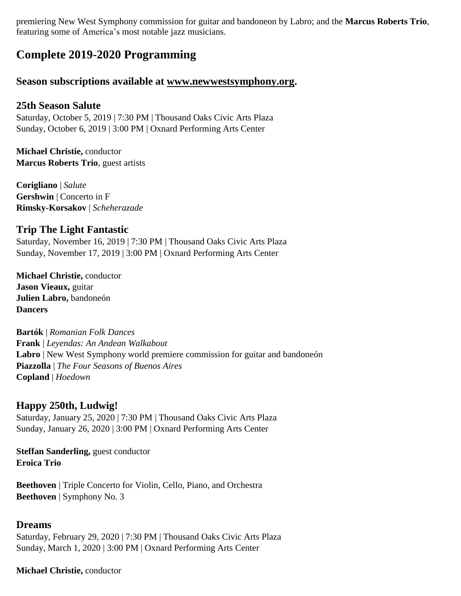premiering New West Symphony commission for guitar and bandoneon by Labro; and the **Marcus Roberts Trio**, featuring some of America's most notable jazz musicians.

# **Complete 2019-2020 Programming**

# **Season subscriptions available at [www.newwestsymphony.org.](https://newwestsymphony.org/2019-2020-masterpiece-series/)**

### **25th Season Salute**

Saturday, October 5, 2019 | 7:30 PM | Thousand Oaks Civic Arts Plaza Sunday, October 6, 2019 | 3:00 PM | Oxnard Performing Arts Center

**Michael Christie,** conductor **Marcus Roberts Trio**, guest artists

**Corigliano** | *Salute* **Gershwin** | Concerto in F **Rimsky-Korsakov** | *Scheherazade*

# **Trip The Light Fantastic**

Saturday, November 16, 2019 | 7:30 PM | Thousand Oaks Civic Arts Plaza Sunday, November 17, 2019 | 3:00 PM | Oxnard Performing Arts Center

**Michael Christie,** conductor **Jason Vieaux,** guitar **Julien Labro,** bandoneón **Dancers**

**Bartók** | *Romanian Folk Dances* **Frank** | *Leyendas: An Andean Walkabout* **Labro** | New West Symphony world premiere commission for guitar and bandoneón **Piazzolla** | *The Four Seasons of Buenos Aires* **Copland** | *Hoedown*

# **Happy 250th, Ludwig!**

Saturday, January 25, 2020 | 7:30 PM | Thousand Oaks Civic Arts Plaza Sunday, January 26, 2020 | 3:00 PM | Oxnard Performing Arts Center

**Steffan Sanderling,** guest conductor **Eroica Trio**

**Beethoven** | Triple Concerto for Violin, Cello, Piano, and Orchestra **Beethoven** | Symphony No. 3

#### **Dreams**

Saturday, February 29, 2020 | 7:30 PM | Thousand Oaks Civic Arts Plaza Sunday, March 1, 2020 | 3:00 PM | Oxnard Performing Arts Center

#### **Michael Christie,** conductor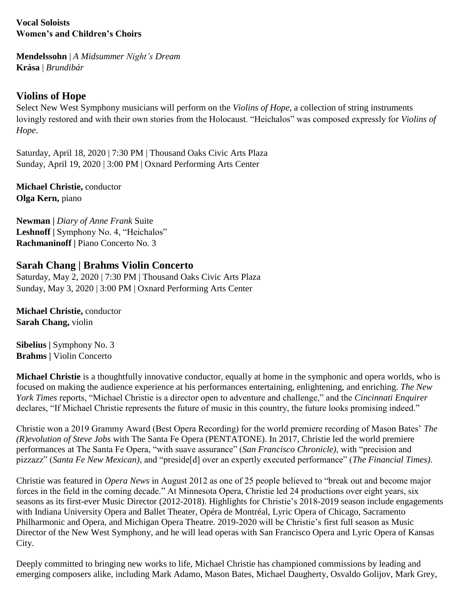## **Vocal Soloists Women's and Children's Choirs**

**Mendelssohn** | *A Midsummer Night's Dream* **Krása** | *Brundibár*

# **Violins of Hope**

Select New West Symphony musicians will perform on the *Violins of Hope*, a collection of string instruments lovingly restored and with their own stories from the Holocaust. "Heichalos" was composed expressly for *Violins of Hope*.

Saturday, April 18, 2020 | 7:30 PM | Thousand Oaks Civic Arts Plaza Sunday, April 19, 2020 | 3:00 PM | Oxnard Performing Arts Center

**Michael Christie,** conductor **Olga Kern,** piano

**Newman |** *Diary of Anne Frank* Suite **Leshnoff |** Symphony No. 4, "Heichalos" **Rachmaninoff |** Piano Concerto No. 3

# **Sarah Chang | Brahms Violin Concerto**

Saturday, May 2, 2020 | 7:30 PM | Thousand Oaks Civic Arts Plaza Sunday, May 3, 2020 | 3:00 PM | Oxnard Performing Arts Center

**Michael Christie,** conductor **Sarah Chang,** violin

**Sibelius |** Symphony No. 3 **Brahms |** Violin Concerto

**Michael Christie** is a thoughtfully innovative conductor, equally at home in the symphonic and opera worlds, who is focused on making the audience experience at his performances entertaining, enlightening, and enriching. *The New York Times* reports, "Michael Christie is a director open to adventure and challenge," and the *Cincinnati Enquirer* declares, "If Michael Christie represents the future of music in this country, the future looks promising indeed."

Christie won a 2019 Grammy Award (Best Opera Recording) for the world premiere recording of Mason Bates' *The (R)evolution of Steve Jobs* with The Santa Fe Opera (PENTATONE). In 2017, Christie led the world premiere performances at The Santa Fe Opera, "with suave assurance" (*San Francisco Chronicle)*, with "precision and pizzazz" (*Santa Fe New Mexican)*, and "preside[d] over an expertly executed performance" (*The Financial Times)*.

Christie was featured in *Opera News* in August 2012 as one of 25 people believed to "break out and become major forces in the field in the coming decade." At Minnesota Opera, Christie led 24 productions over eight years, six seasons as its first-ever Music Director (2012-2018). Highlights for Christie's 2018-2019 season include engagements with Indiana University Opera and Ballet Theater, Opéra de Montréal, Lyric Opera of Chicago, Sacramento Philharmonic and Opera, and Michigan Opera Theatre. 2019-2020 will be Christie's first full season as Music Director of the New West Symphony, and he will lead operas with San Francisco Opera and Lyric Opera of Kansas City.

Deeply committed to bringing new works to life, Michael Christie has championed commissions by leading and emerging composers alike, including Mark Adamo, Mason Bates, Michael Daugherty, Osvaldo Golijov, Mark Grey,